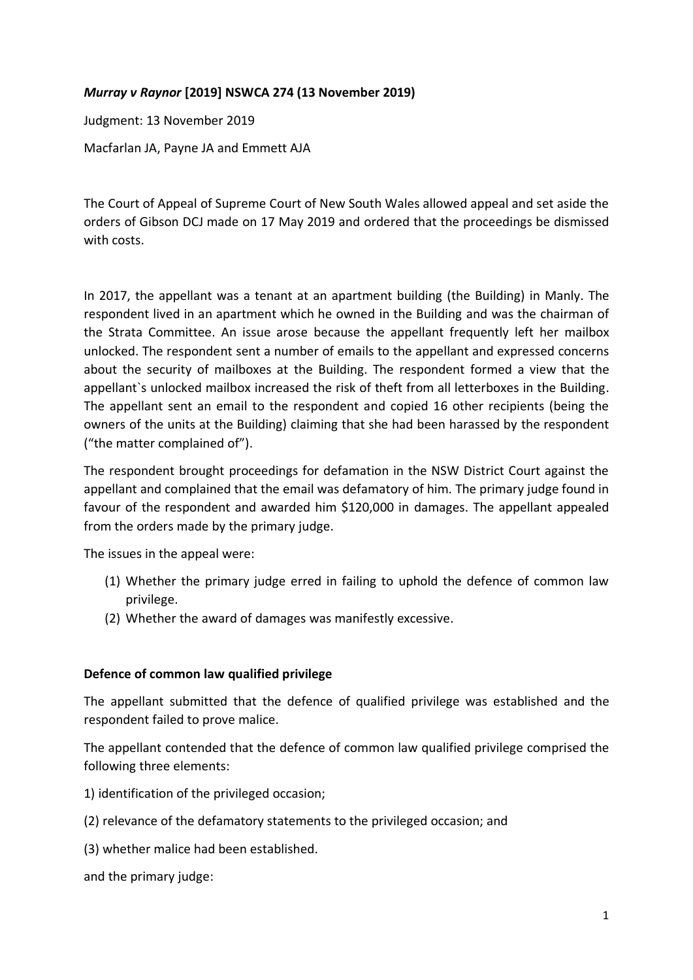## *Murray v Raynor* **[2019] NSWCA 274 (13 November 2019)**

Judgment: 13 November 2019

Macfarlan JA, Payne JA and Emmett AJA

The Court of Appeal of Supreme Court of New South Wales allowed appeal and set aside the orders of Gibson DCJ made on 17 May 2019 and ordered that the proceedings be dismissed with costs.

In 2017, the appellant was a tenant at an apartment building (the Building) in Manly. The respondent lived in an apartment which he owned in the Building and was the chairman of the Strata Committee. An issue arose because the appellant frequently left her mailbox unlocked. The respondent sent a number of emails to the appellant and expressed concerns about the security of mailboxes at the Building. The respondent formed a view that the appellant`s unlocked mailbox increased the risk of theft from all letterboxes in the Building. The appellant sent an email to the respondent and copied 16 other recipients (being the owners of the units at the Building) claiming that she had been harassed by the respondent ("the matter complained of").

The respondent brought proceedings for defamation in the NSW District Court against the appellant and complained that the email was defamatory of him. The primary judge found in favour of the respondent and awarded him \$120,000 in damages. The appellant appealed from the orders made by the primary judge.

The issues in the appeal were:

- (1) Whether the primary judge erred in failing to uphold the defence of common law privilege.
- (2) Whether the award of damages was manifestly excessive.

## **Defence of common law qualified privilege**

The appellant submitted that the defence of qualified privilege was established and the respondent failed to prove malice.

The appellant contended that the defence of common law qualified privilege comprised the following three elements:

- 1) identification of the privileged occasion;
- (2) relevance of the defamatory statements to the privileged occasion; and
- (3) whether malice had been established.
- and the primary judge: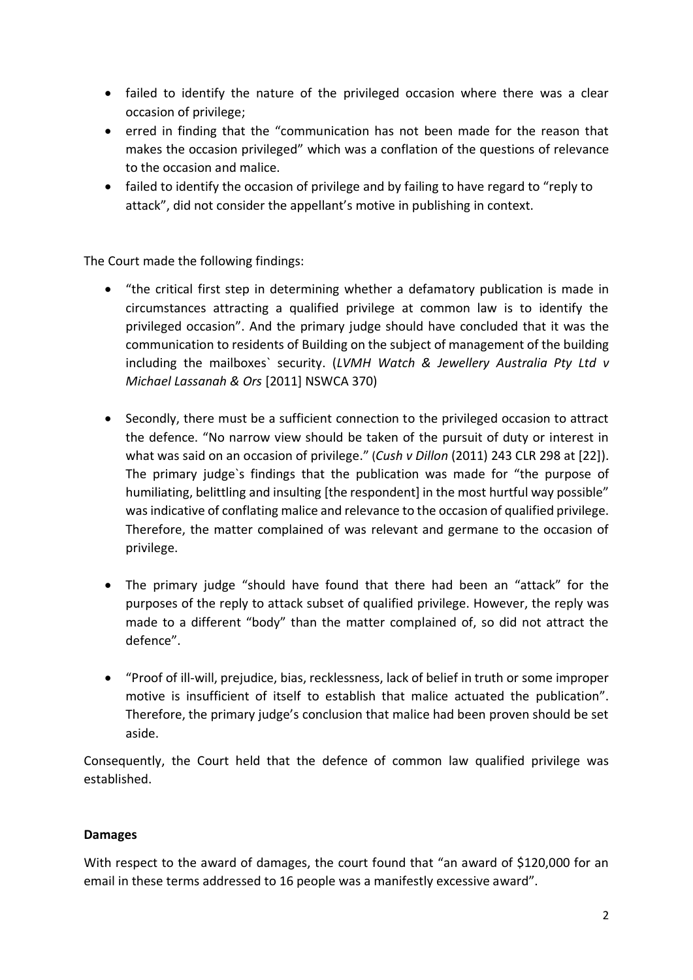- failed to identify the nature of the privileged occasion where there was a clear occasion of privilege;
- erred in finding that the "communication has not been made for the reason that makes the occasion privileged" which was a conflation of the questions of relevance to the occasion and malice.
- failed to identify the occasion of privilege and by failing to have regard to "reply to attack", did not consider the appellant's motive in publishing in context.

The Court made the following findings:

- "the critical first step in determining whether a defamatory publication is made in circumstances attracting a qualified privilege at common law is to identify the privileged occasion". And the primary judge should have concluded that it was the communication to residents of Building on the subject of management of the building including the mailboxes` security. (*LVMH Watch & Jewellery Australia Pty Ltd v Michael Lassanah & Ors* [2011] NSWCA 370)
- Secondly, there must be a sufficient connection to the privileged occasion to attract the defence. "No narrow view should be taken of the pursuit of duty or interest in what was said on an occasion of privilege." (*Cush v Dillon* (2011) 243 CLR 298 at [22]). The primary judge`s findings that the publication was made for "the purpose of humiliating, belittling and insulting [the respondent] in the most hurtful way possible" was indicative of conflating malice and relevance to the occasion of qualified privilege. Therefore, the matter complained of was relevant and germane to the occasion of privilege.
- The primary judge "should have found that there had been an "attack" for the purposes of the reply to attack subset of qualified privilege. However, the reply was made to a different "body" than the matter complained of, so did not attract the defence".
- "Proof of ill-will, prejudice, bias, recklessness, lack of belief in truth or some improper motive is insufficient of itself to establish that malice actuated the publication". Therefore, the primary judge's conclusion that malice had been proven should be set aside.

Consequently, the Court held that the defence of common law qualified privilege was established.

## **Damages**

With respect to the award of damages, the court found that "an award of \$120,000 for an email in these terms addressed to 16 people was a manifestly excessive award".